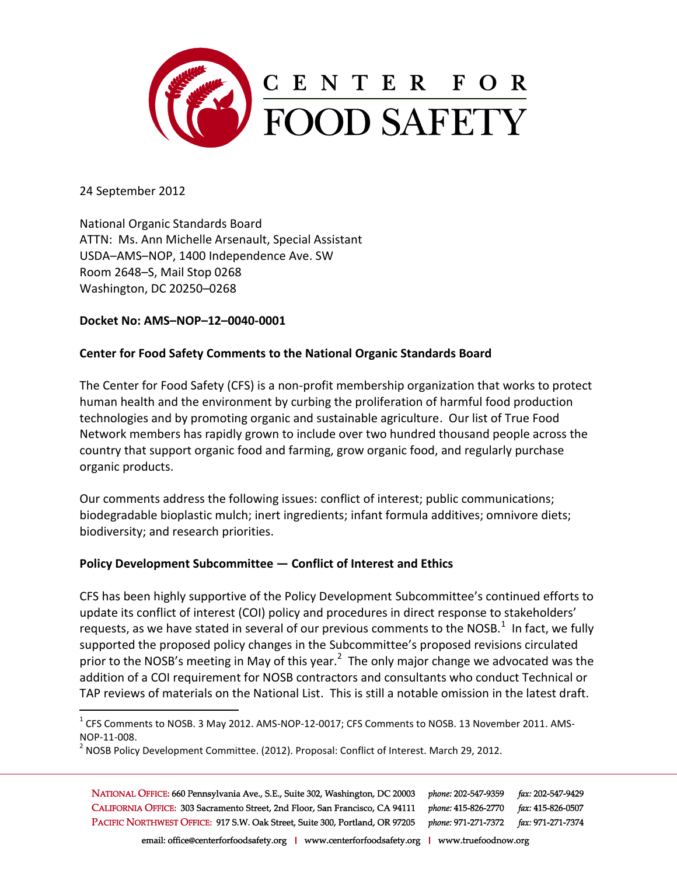

24 September 2012

 $\overline{a}$ 

National Organic Standards Board ATTN: Ms. Ann Michelle Arsenault, Special Assistant USDA–AMS–NOP, 1400 Independence Ave. SW Room 2648–S, Mail Stop 0268 Washington, DC 20250–0268

## **Docket No: AMS–NOP–12–0040-0001**

## **Center for Food Safety Comments to the National Organic Standards Board**

The Center for Food Safety (CFS) is a non-profit membership organization that works to protect human health and the environment by curbing the proliferation of harmful food production technologies and by promoting organic and sustainable agriculture. Our list of True Food Network members has rapidly grown to include over two hundred thousand people across the country that support organic food and farming, grow organic food, and regularly purchase organic products.

Our comments address the following issues: conflict of interest; public communications; biodegradable bioplastic mulch; inert ingredients; infant formula additives; omnivore diets; biodiversity; and research priorities.

## **Policy Development Subcommittee — Conflict of Interest and Ethics**

CFS has been highly supportive of the Policy Development Subcommittee's continued efforts to update its conflict of interest (COI) policy and procedures in direct response to stakeholders' requests, as we have stated in several of our previous comments to the NOSB.<sup>1</sup> In fact, we fully supported the proposed policy changes in the Subcommittee's proposed revisions circulated prior to the NOSB's meeting in May of this year.<sup>2</sup> The only major change we advocated was the addition of a COI requirement for NOSB contractors and consultants who conduct Technical or TAP reviews of materials on the National List. This is still a notable omission in the latest draft.

NATIONAL OFFICE: 660 Pennsylvania Ave., S.E., Suite 302, Washington, DC 20003 phone: 202-547-9359 fax: 202-547-9429 CALIFORNIA OFFICE: 303 Sacramento Street, 2nd Floor, San Francisco, CA 94111 phone: 415-826-2770 fax: 415-826-0507 PACIFIC NORTHWEST OFFICE: 917 S.W. Oak Street, Suite 300, Portland, OR 97205 phone: 971-271-7372 fax: 971-271-7374

 $^1$  CFS Comments to NOSB. 3 May 2012. AMS-NOP-12-0017; CFS Comments to NOSB. 13 November 2011. AMS-NOP-11-008.

 $^2$  NOSB Policy Development Committee. (2012). Proposal: Conflict of Interest. March 29, 2012.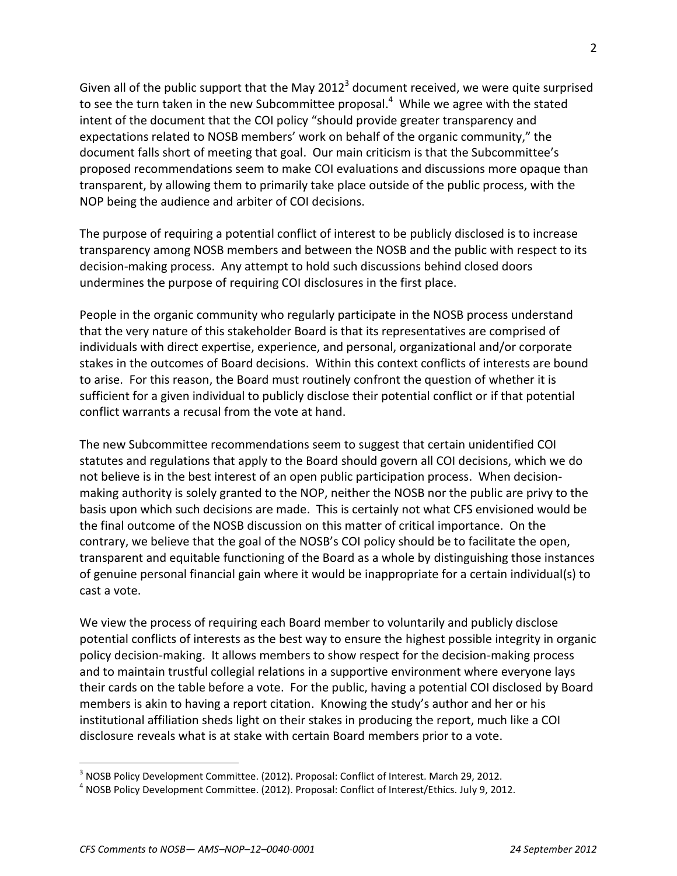Given all of the public support that the May 2012<sup>3</sup> document received, we were quite surprised to see the turn taken in the new Subcommittee proposal.<sup>4</sup> While we agree with the stated intent of the document that the COI policy "should provide greater transparency and expectations related to NOSB members' work on behalf of the organic community," the document falls short of meeting that goal. Our main criticism is that the Subcommittee's proposed recommendations seem to make COI evaluations and discussions more opaque than transparent, by allowing them to primarily take place outside of the public process, with the NOP being the audience and arbiter of COI decisions.

The purpose of requiring a potential conflict of interest to be publicly disclosed is to increase transparency among NOSB members and between the NOSB and the public with respect to its decision-making process. Any attempt to hold such discussions behind closed doors undermines the purpose of requiring COI disclosures in the first place.

People in the organic community who regularly participate in the NOSB process understand that the very nature of this stakeholder Board is that its representatives are comprised of individuals with direct expertise, experience, and personal, organizational and/or corporate stakes in the outcomes of Board decisions. Within this context conflicts of interests are bound to arise. For this reason, the Board must routinely confront the question of whether it is sufficient for a given individual to publicly disclose their potential conflict or if that potential conflict warrants a recusal from the vote at hand.

The new Subcommittee recommendations seem to suggest that certain unidentified COI statutes and regulations that apply to the Board should govern all COI decisions, which we do not believe is in the best interest of an open public participation process. When decisionmaking authority is solely granted to the NOP, neither the NOSB nor the public are privy to the basis upon which such decisions are made. This is certainly not what CFS envisioned would be the final outcome of the NOSB discussion on this matter of critical importance. On the contrary, we believe that the goal of the NOSB's COI policy should be to facilitate the open, transparent and equitable functioning of the Board as a whole by distinguishing those instances of genuine personal financial gain where it would be inappropriate for a certain individual(s) to cast a vote.

We view the process of requiring each Board member to voluntarily and publicly disclose potential conflicts of interests as the best way to ensure the highest possible integrity in organic policy decision-making. It allows members to show respect for the decision-making process and to maintain trustful collegial relations in a supportive environment where everyone lays their cards on the table before a vote. For the public, having a potential COI disclosed by Board members is akin to having a report citation. Knowing the study's author and her or his institutional affiliation sheds light on their stakes in producing the report, much like a COI disclosure reveals what is at stake with certain Board members prior to a vote.

 $^3$  NOSB Policy Development Committee. (2012). Proposal: Conflict of Interest. March 29, 2012.

<sup>&</sup>lt;sup>4</sup> NOSB Policy Development Committee. (2012). Proposal: Conflict of Interest/Ethics. July 9, 2012.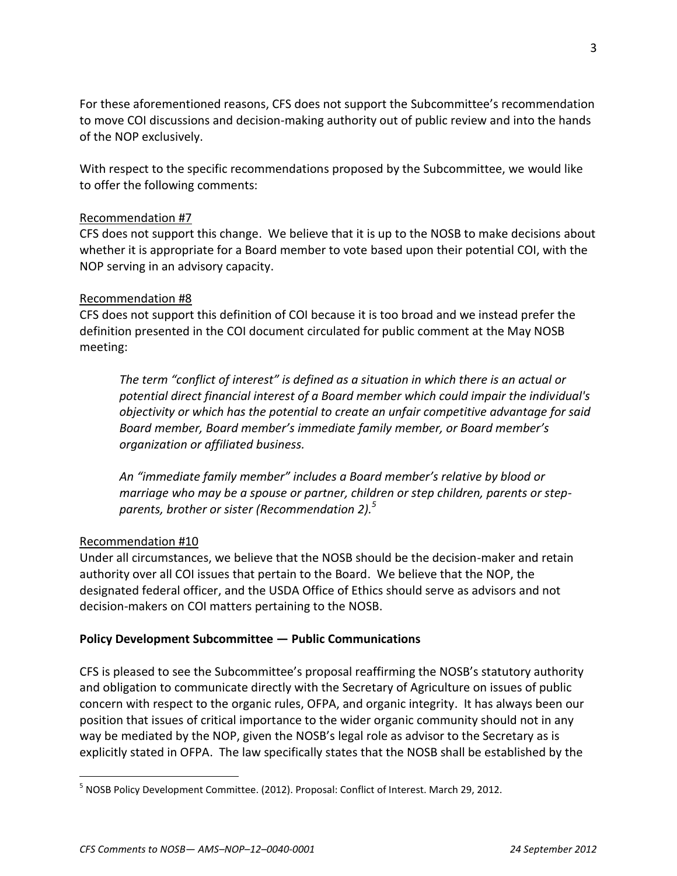For these aforementioned reasons, CFS does not support the Subcommittee's recommendation to move COI discussions and decision-making authority out of public review and into the hands of the NOP exclusively.

With respect to the specific recommendations proposed by the Subcommittee, we would like to offer the following comments:

## Recommendation #7

CFS does not support this change. We believe that it is up to the NOSB to make decisions about whether it is appropriate for a Board member to vote based upon their potential COI, with the NOP serving in an advisory capacity.

## Recommendation #8

CFS does not support this definition of COI because it is too broad and we instead prefer the definition presented in the COI document circulated for public comment at the May NOSB meeting:

*The term "conflict of interest" is defined as a situation in which there is an actual or potential direct financial interest of a Board member which could impair the individual's objectivity or which has the potential to create an unfair competitive advantage for said Board member, Board member's immediate family member, or Board member's organization or affiliated business.* 

*An "immediate family member" includes a Board member's relative by blood or marriage who may be a spouse or partner, children or step children, parents or stepparents, brother or sister (Recommendation 2). 5*

## Recommendation #10

 $\overline{a}$ 

Under all circumstances, we believe that the NOSB should be the decision-maker and retain authority over all COI issues that pertain to the Board. We believe that the NOP, the designated federal officer, and the USDA Office of Ethics should serve as advisors and not decision-makers on COI matters pertaining to the NOSB.

## **Policy Development Subcommittee — Public Communications**

CFS is pleased to see the Subcommittee's proposal reaffirming the NOSB's statutory authority and obligation to communicate directly with the Secretary of Agriculture on issues of public concern with respect to the organic rules, OFPA, and organic integrity. It has always been our position that issues of critical importance to the wider organic community should not in any way be mediated by the NOP, given the NOSB's legal role as advisor to the Secretary as is explicitly stated in OFPA. The law specifically states that the NOSB shall be established by the

<sup>&</sup>lt;sup>5</sup> NOSB Policy Development Committee. (2012). Proposal: Conflict of Interest. March 29, 2012.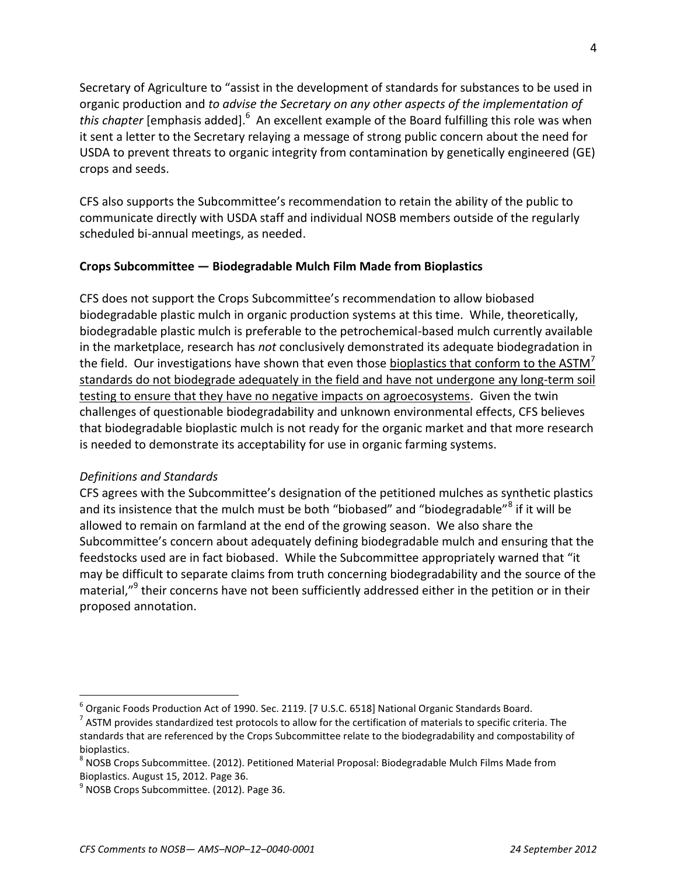Secretary of Agriculture to "assist in the development of standards for substances to be used in organic production and *to advise the Secretary on any other aspects of the implementation of*  this chapter [emphasis added].<sup>6</sup> An excellent example of the Board fulfilling this role was when it sent a letter to the Secretary relaying a message of strong public concern about the need for USDA to prevent threats to organic integrity from contamination by genetically engineered (GE) crops and seeds.

CFS also supports the Subcommittee's recommendation to retain the ability of the public to communicate directly with USDA staff and individual NOSB members outside of the regularly scheduled bi-annual meetings, as needed.

## **Crops Subcommittee — Biodegradable Mulch Film Made from Bioplastics**

CFS does not support the Crops Subcommittee's recommendation to allow biobased biodegradable plastic mulch in organic production systems at this time. While, theoretically, biodegradable plastic mulch is preferable to the petrochemical-based mulch currently available in the marketplace, research has *not* conclusively demonstrated its adequate biodegradation in the field. Our investigations have shown that even those bioplastics that conform to the ASTM<sup>7</sup> standards do not biodegrade adequately in the field and have not undergone any long-term soil testing to ensure that they have no negative impacts on agroecosystems. Given the twin challenges of questionable biodegradability and unknown environmental effects, CFS believes that biodegradable bioplastic mulch is not ready for the organic market and that more research is needed to demonstrate its acceptability for use in organic farming systems.

## *Definitions and Standards*

 $\overline{a}$ 

CFS agrees with the Subcommittee's designation of the petitioned mulches as synthetic plastics and its insistence that the mulch must be both "biobased" and "biodegradable"<sup>8</sup> if it will be allowed to remain on farmland at the end of the growing season. We also share the Subcommittee's concern about adequately defining biodegradable mulch and ensuring that the feedstocks used are in fact biobased. While the Subcommittee appropriately warned that "it may be difficult to separate claims from truth concerning biodegradability and the source of the material,"<sup>9</sup> their concerns have not been sufficiently addressed either in the petition or in their proposed annotation.

 $^6$  Organic Foods Production Act of 1990. Sec. 2119. [7 U.S.C. 6518] National Organic Standards Board.

 $^7$  ASTM provides standardized test protocols to allow for the certification of materials to specific criteria. The standards that are referenced by the Crops Subcommittee relate to the biodegradability and compostability of bioplastics.

 $^8$  NOSB Crops Subcommittee. (2012). Petitioned Material Proposal: Biodegradable Mulch Films Made from Bioplastics. August 15, 2012. Page 36.

<sup>&</sup>lt;sup>9</sup> NOSB Crops Subcommittee. (2012). Page 36.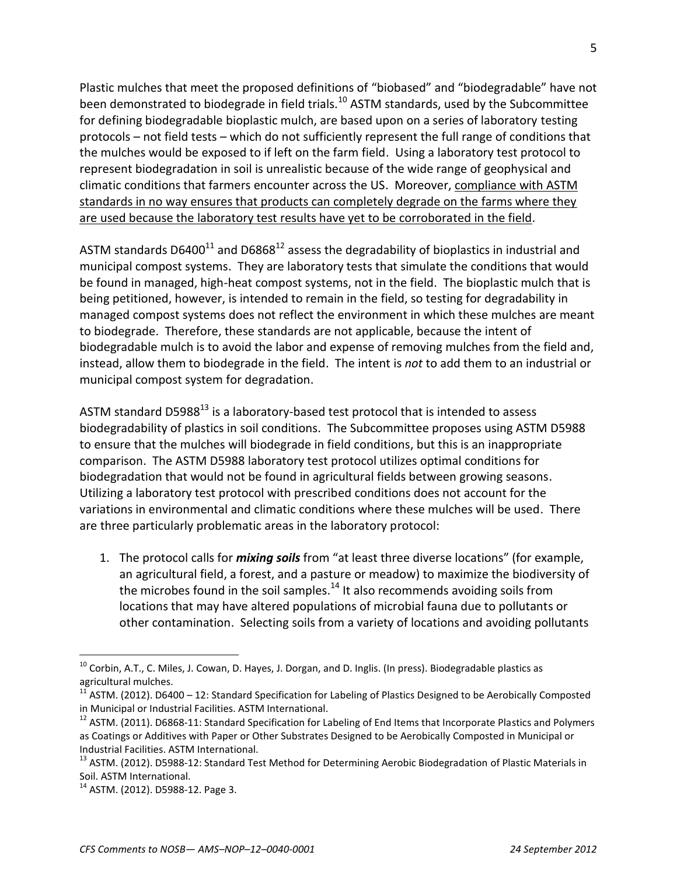Plastic mulches that meet the proposed definitions of "biobased" and "biodegradable" have not been demonstrated to biodegrade in field trials.<sup>10</sup> ASTM standards, used by the Subcommittee for defining biodegradable bioplastic mulch, are based upon on a series of laboratory testing protocols – not field tests – which do not sufficiently represent the full range of conditions that the mulches would be exposed to if left on the farm field. Using a laboratory test protocol to represent biodegradation in soil is unrealistic because of the wide range of geophysical and climatic conditions that farmers encounter across the US. Moreover, compliance with ASTM standards in no way ensures that products can completely degrade on the farms where they are used because the laboratory test results have yet to be corroborated in the field.

ASTM standards D6400<sup>11</sup> and D6868<sup>12</sup> assess the degradability of bioplastics in industrial and municipal compost systems. They are laboratory tests that simulate the conditions that would be found in managed, high-heat compost systems, not in the field. The bioplastic mulch that is being petitioned, however, is intended to remain in the field, so testing for degradability in managed compost systems does not reflect the environment in which these mulches are meant to biodegrade. Therefore, these standards are not applicable, because the intent of biodegradable mulch is to avoid the labor and expense of removing mulches from the field and, instead, allow them to biodegrade in the field. The intent is *not* to add them to an industrial or municipal compost system for degradation.

ASTM standard D5988 $^{13}$  is a laboratory-based test protocol that is intended to assess biodegradability of plastics in soil conditions. The Subcommittee proposes using ASTM D5988 to ensure that the mulches will biodegrade in field conditions, but this is an inappropriate comparison. The ASTM D5988 laboratory test protocol utilizes optimal conditions for biodegradation that would not be found in agricultural fields between growing seasons. Utilizing a laboratory test protocol with prescribed conditions does not account for the variations in environmental and climatic conditions where these mulches will be used. There are three particularly problematic areas in the laboratory protocol:

1. The protocol calls for *mixing soils* from "at least three diverse locations" (for example, an agricultural field, a forest, and a pasture or meadow) to maximize the biodiversity of the microbes found in the soil samples. $14$  It also recommends avoiding soils from locations that may have altered populations of microbial fauna due to pollutants or other contamination. Selecting soils from a variety of locations and avoiding pollutants

<sup>&</sup>lt;sup>10</sup> Corbin, A.T., C. Miles, J. Cowan, D. Hayes, J. Dorgan, and D. Inglis. (In press). Biodegradable plastics as agricultural mulches.

 $11$  ASTM. (2012). D6400 – 12: Standard Specification for Labeling of Plastics Designed to be Aerobically Composted in Municipal or Industrial Facilities. ASTM International.

 $12$  ASTM. (2011). D6868-11: Standard Specification for Labeling of End Items that Incorporate Plastics and Polymers as Coatings or Additives with Paper or Other Substrates Designed to be Aerobically Composted in Municipal or Industrial Facilities. ASTM International.

<sup>&</sup>lt;sup>13</sup> ASTM. (2012). D5988-12: Standard Test Method for Determining Aerobic Biodegradation of Plastic Materials in Soil. ASTM International.

<sup>14</sup> ASTM. (2012). D5988-12. Page 3.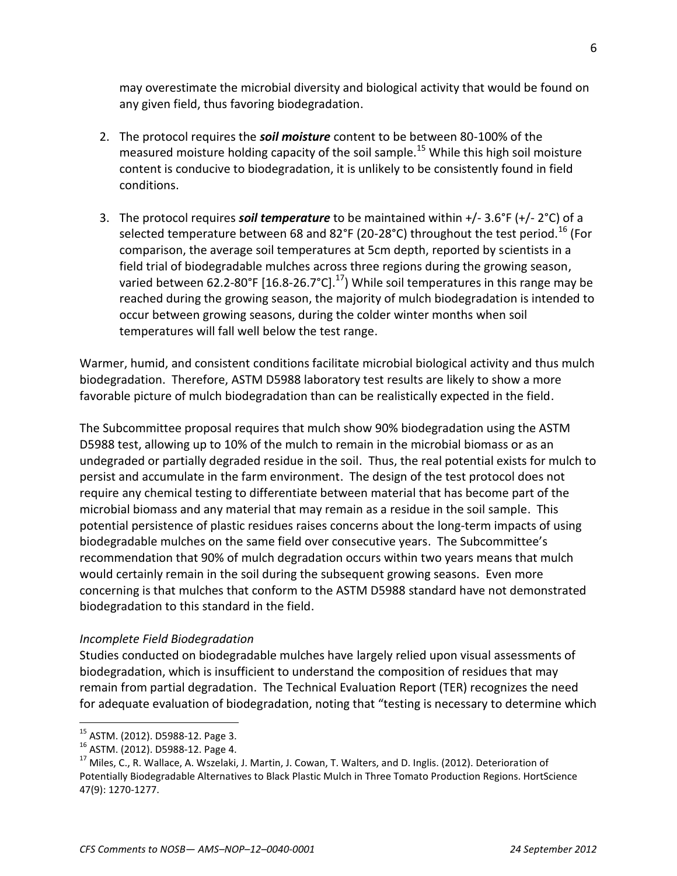may overestimate the microbial diversity and biological activity that would be found on any given field, thus favoring biodegradation.

- 2. The protocol requires the *soil moisture* content to be between 80-100% of the measured moisture holding capacity of the soil sample.<sup>15</sup> While this high soil moisture content is conducive to biodegradation, it is unlikely to be consistently found in field conditions.
- 3. The protocol requires *soil temperature* to be maintained within +/- 3.6°F (+/- 2°C) of a selected temperature between 68 and 82°F (20-28°C) throughout the test period.<sup>16</sup> (For comparison, the average soil temperatures at 5cm depth, reported by scientists in a field trial of biodegradable mulches across three regions during the growing season, varied between 62.2-80°F [16.8-26.7°C].<sup>17</sup>) While soil temperatures in this range may be reached during the growing season, the majority of mulch biodegradation is intended to occur between growing seasons, during the colder winter months when soil temperatures will fall well below the test range.

Warmer, humid, and consistent conditions facilitate microbial biological activity and thus mulch biodegradation. Therefore, ASTM D5988 laboratory test results are likely to show a more favorable picture of mulch biodegradation than can be realistically expected in the field.

The Subcommittee proposal requires that mulch show 90% biodegradation using the ASTM D5988 test, allowing up to 10% of the mulch to remain in the microbial biomass or as an undegraded or partially degraded residue in the soil. Thus, the real potential exists for mulch to persist and accumulate in the farm environment. The design of the test protocol does not require any chemical testing to differentiate between material that has become part of the microbial biomass and any material that may remain as a residue in the soil sample. This potential persistence of plastic residues raises concerns about the long-term impacts of using biodegradable mulches on the same field over consecutive years. The Subcommittee's recommendation that 90% of mulch degradation occurs within two years means that mulch would certainly remain in the soil during the subsequent growing seasons. Even more concerning is that mulches that conform to the ASTM D5988 standard have not demonstrated biodegradation to this standard in the field.

## *Incomplete Field Biodegradation*

Studies conducted on biodegradable mulches have largely relied upon visual assessments of biodegradation, which is insufficient to understand the composition of residues that may remain from partial degradation. The Technical Evaluation Report (TER) recognizes the need for adequate evaluation of biodegradation, noting that "testing is necessary to determine which

<sup>15</sup> ASTM. (2012). D5988-12. Page 3.

<sup>16</sup> ASTM. (2012). D5988-12. Page 4.

<sup>&</sup>lt;sup>17</sup> Miles, C., R. Wallace, A. Wszelaki, J. Martin, J. Cowan, T. Walters, and D. Inglis. (2012). Deterioration of Potentially Biodegradable Alternatives to Black Plastic Mulch in Three Tomato Production Regions. HortScience 47(9): 1270-1277.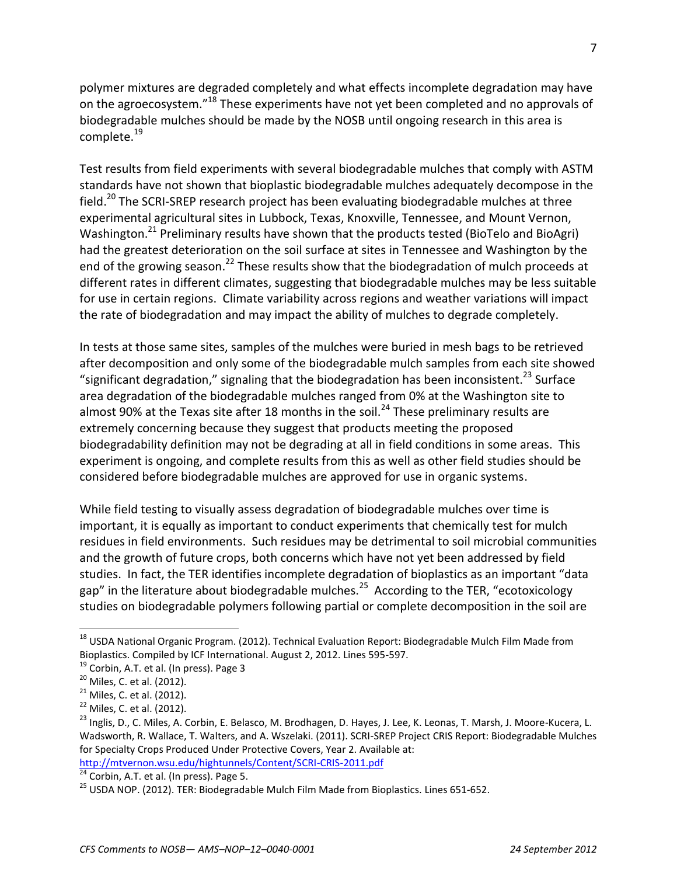polymer mixtures are degraded completely and what effects incomplete degradation may have on the agroecosystem."<sup>18</sup> These experiments have not yet been completed and no approvals of biodegradable mulches should be made by the NOSB until ongoing research in this area is complete.<sup>19</sup>

Test results from field experiments with several biodegradable mulches that comply with ASTM standards have not shown that bioplastic biodegradable mulches adequately decompose in the field.<sup>20</sup> The SCRI-SREP research project has been evaluating biodegradable mulches at three experimental agricultural sites in Lubbock, Texas, Knoxville, Tennessee, and Mount Vernon, Washington.<sup>21</sup> Preliminary results have shown that the products tested (BioTelo and BioAgri) had the greatest deterioration on the soil surface at sites in Tennessee and Washington by the end of the growing season.<sup>22</sup> These results show that the biodegradation of mulch proceeds at different rates in different climates, suggesting that biodegradable mulches may be less suitable for use in certain regions. Climate variability across regions and weather variations will impact the rate of biodegradation and may impact the ability of mulches to degrade completely.

In tests at those same sites, samples of the mulches were buried in mesh bags to be retrieved after decomposition and only some of the biodegradable mulch samples from each site showed "significant degradation," signaling that the biodegradation has been inconsistent.<sup>23</sup> Surface area degradation of the biodegradable mulches ranged from 0% at the Washington site to almost 90% at the Texas site after 18 months in the soil.<sup>24</sup> These preliminary results are extremely concerning because they suggest that products meeting the proposed biodegradability definition may not be degrading at all in field conditions in some areas. This experiment is ongoing, and complete results from this as well as other field studies should be considered before biodegradable mulches are approved for use in organic systems.

While field testing to visually assess degradation of biodegradable mulches over time is important, it is equally as important to conduct experiments that chemically test for mulch residues in field environments. Such residues may be detrimental to soil microbial communities and the growth of future crops, both concerns which have not yet been addressed by field studies. In fact, the TER identifies incomplete degradation of bioplastics as an important "data gap" in the literature about biodegradable mulches.<sup>25</sup> According to the TER, "ecotoxicology studies on biodegradable polymers following partial or complete decomposition in the soil are

 $^{18}$  USDA National Organic Program. (2012). Technical Evaluation Report: Biodegradable Mulch Film Made from Bioplastics. Compiled by ICF International. August 2, 2012. Lines 595-597.

<sup>&</sup>lt;sup>19</sup> Corbin, A.T. et al. (In press). Page 3

<sup>&</sup>lt;sup>20</sup> Miles, C. et al. (2012).

<sup>&</sup>lt;sup>21</sup> Miles, C. et al. (2012).

<sup>&</sup>lt;sup>22</sup> Miles, C. et al. (2012).

<sup>&</sup>lt;sup>23</sup> Inglis, D., C. Miles, A. Corbin, E. Belasco, M. Brodhagen, D. Hayes, J. Lee, K. Leonas, T. Marsh, J. Moore-Kucera, L. Wadsworth, R. Wallace, T. Walters, and A. Wszelaki. (2011). SCRI-SREP Project CRIS Report: Biodegradable Mulches for Specialty Crops Produced Under Protective Covers, Year 2. Available at: <http://mtvernon.wsu.edu/hightunnels/Content/SCRI-CRIS-2011.pdf>

 $\frac{24}{24}$  Corbin, A.T. et al. (In press). Page 5.

<sup>&</sup>lt;sup>25</sup> USDA NOP. (2012). TER: Biodegradable Mulch Film Made from Bioplastics. Lines 651-652.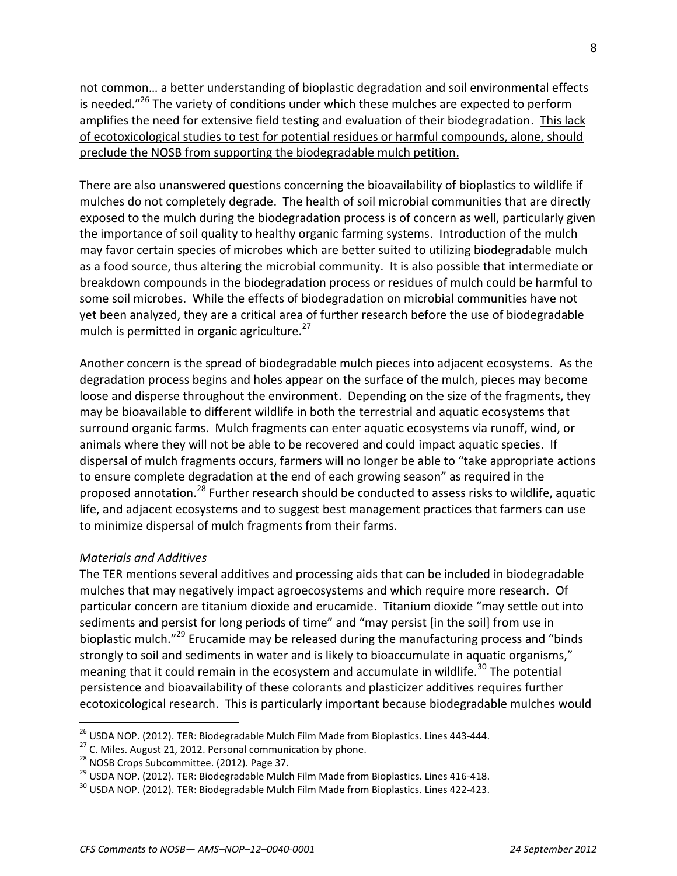not common… a better understanding of bioplastic degradation and soil environmental effects is needed. $"^{26}$  The variety of conditions under which these mulches are expected to perform amplifies the need for extensive field testing and evaluation of their biodegradation. This lack of ecotoxicological studies to test for potential residues or harmful compounds, alone, should preclude the NOSB from supporting the biodegradable mulch petition.

There are also unanswered questions concerning the bioavailability of bioplastics to wildlife if mulches do not completely degrade. The health of soil microbial communities that are directly exposed to the mulch during the biodegradation process is of concern as well, particularly given the importance of soil quality to healthy organic farming systems. Introduction of the mulch may favor certain species of microbes which are better suited to utilizing biodegradable mulch as a food source, thus altering the microbial community. It is also possible that intermediate or breakdown compounds in the biodegradation process or residues of mulch could be harmful to some soil microbes. While the effects of biodegradation on microbial communities have not yet been analyzed, they are a critical area of further research before the use of biodegradable mulch is permitted in organic agriculture.<sup>27</sup>

Another concern is the spread of biodegradable mulch pieces into adjacent ecosystems. As the degradation process begins and holes appear on the surface of the mulch, pieces may become loose and disperse throughout the environment. Depending on the size of the fragments, they may be bioavailable to different wildlife in both the terrestrial and aquatic ecosystems that surround organic farms. Mulch fragments can enter aquatic ecosystems via runoff, wind, or animals where they will not be able to be recovered and could impact aquatic species. If dispersal of mulch fragments occurs, farmers will no longer be able to "take appropriate actions to ensure complete degradation at the end of each growing season" as required in the proposed annotation.<sup>28</sup> Further research should be conducted to assess risks to wildlife, aquatic life, and adjacent ecosystems and to suggest best management practices that farmers can use to minimize dispersal of mulch fragments from their farms.

## *Materials and Additives*

 $\overline{a}$ 

The TER mentions several additives and processing aids that can be included in biodegradable mulches that may negatively impact agroecosystems and which require more research. Of particular concern are titanium dioxide and erucamide. Titanium dioxide "may settle out into sediments and persist for long periods of time" and "may persist [in the soil] from use in bioplastic mulch."<sup>29</sup> Erucamide may be released during the manufacturing process and "binds strongly to soil and sediments in water and is likely to bioaccumulate in aquatic organisms," meaning that it could remain in the ecosystem and accumulate in wildlife.<sup>30</sup> The potential persistence and bioavailability of these colorants and plasticizer additives requires further ecotoxicological research. This is particularly important because biodegradable mulches would

 $26$  USDA NOP. (2012). TER: Biodegradable Mulch Film Made from Bioplastics. Lines 443-444.

 $27$  C. Miles. August 21, 2012. Personal communication by phone.

<sup>&</sup>lt;sup>28</sup> NOSB Crops Subcommittee. (2012). Page 37.

<sup>&</sup>lt;sup>29</sup> USDA NOP. (2012). TER: Biodegradable Mulch Film Made from Bioplastics. Lines 416-418.

 $30$  USDA NOP. (2012). TER: Biodegradable Mulch Film Made from Bioplastics. Lines 422-423.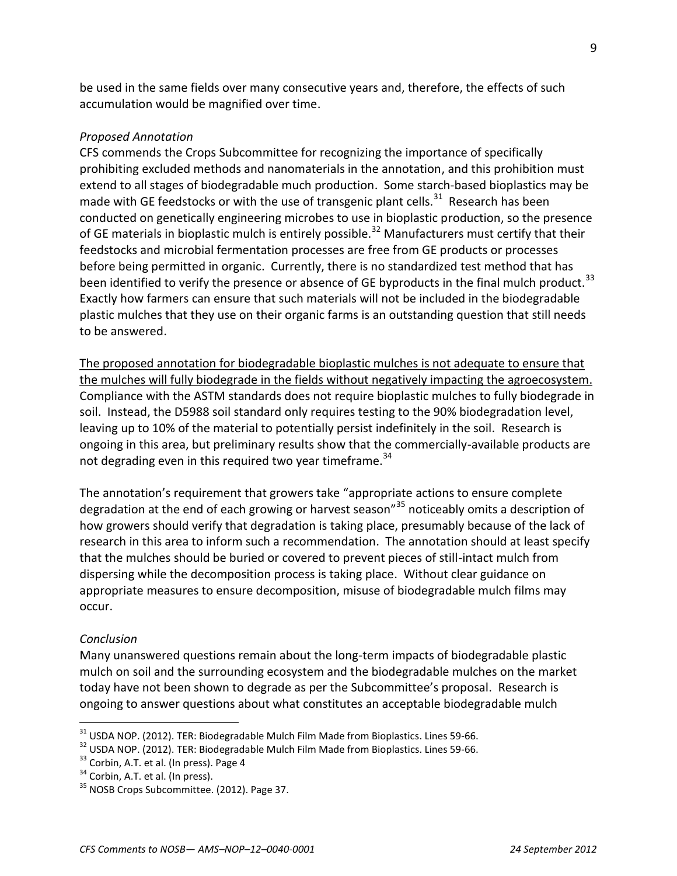be used in the same fields over many consecutive years and, therefore, the effects of such accumulation would be magnified over time.

#### *Proposed Annotation*

CFS commends the Crops Subcommittee for recognizing the importance of specifically prohibiting excluded methods and nanomaterials in the annotation, and this prohibition must extend to all stages of biodegradable much production. Some starch-based bioplastics may be made with GE feedstocks or with the use of transgenic plant cells.<sup>31</sup> Research has been conducted on genetically engineering microbes to use in bioplastic production, so the presence of GE materials in bioplastic mulch is entirely possible.<sup>32</sup> Manufacturers must certify that their feedstocks and microbial fermentation processes are free from GE products or processes before being permitted in organic. Currently, there is no standardized test method that has been identified to verify the presence or absence of GE byproducts in the final mulch product.<sup>33</sup> Exactly how farmers can ensure that such materials will not be included in the biodegradable plastic mulches that they use on their organic farms is an outstanding question that still needs to be answered.

The proposed annotation for biodegradable bioplastic mulches is not adequate to ensure that the mulches will fully biodegrade in the fields without negatively impacting the agroecosystem. Compliance with the ASTM standards does not require bioplastic mulches to fully biodegrade in soil. Instead, the D5988 soil standard only requires testing to the 90% biodegradation level, leaving up to 10% of the material to potentially persist indefinitely in the soil. Research is ongoing in this area, but preliminary results show that the commercially-available products are not degrading even in this required two year timeframe.<sup>34</sup>

The annotation's requirement that growers take "appropriate actions to ensure complete degradation at the end of each growing or harvest season"<sup>35</sup> noticeably omits a description of how growers should verify that degradation is taking place, presumably because of the lack of research in this area to inform such a recommendation. The annotation should at least specify that the mulches should be buried or covered to prevent pieces of still-intact mulch from dispersing while the decomposition process is taking place. Without clear guidance on appropriate measures to ensure decomposition, misuse of biodegradable mulch films may occur.

#### *Conclusion*

 $\overline{a}$ 

Many unanswered questions remain about the long-term impacts of biodegradable plastic mulch on soil and the surrounding ecosystem and the biodegradable mulches on the market today have not been shown to degrade as per the Subcommittee's proposal. Research is ongoing to answer questions about what constitutes an acceptable biodegradable mulch

 $31$  USDA NOP. (2012). TER: Biodegradable Mulch Film Made from Bioplastics. Lines 59-66.

<sup>&</sup>lt;sup>32</sup> USDA NOP. (2012). TER: Biodegradable Mulch Film Made from Bioplastics. Lines 59-66.

<sup>&</sup>lt;sup>33</sup> Corbin, A.T. et al. (In press). Page 4

 $34$  Corbin, A.T. et al. (In press).

<sup>&</sup>lt;sup>35</sup> NOSB Crops Subcommittee. (2012). Page 37.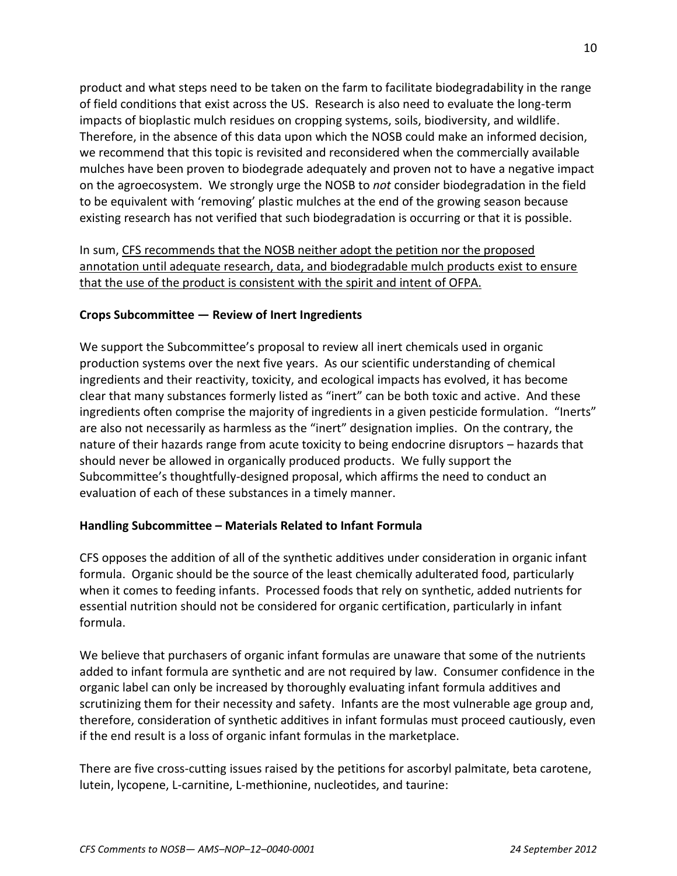product and what steps need to be taken on the farm to facilitate biodegradability in the range of field conditions that exist across the US. Research is also need to evaluate the long-term impacts of bioplastic mulch residues on cropping systems, soils, biodiversity, and wildlife. Therefore, in the absence of this data upon which the NOSB could make an informed decision, we recommend that this topic is revisited and reconsidered when the commercially available mulches have been proven to biodegrade adequately and proven not to have a negative impact on the agroecosystem. We strongly urge the NOSB to *not* consider biodegradation in the field to be equivalent with 'removing' plastic mulches at the end of the growing season because existing research has not verified that such biodegradation is occurring or that it is possible.

In sum, CFS recommends that the NOSB neither adopt the petition nor the proposed annotation until adequate research, data, and biodegradable mulch products exist to ensure that the use of the product is consistent with the spirit and intent of OFPA.

## **Crops Subcommittee — Review of Inert Ingredients**

We support the Subcommittee's proposal to review all inert chemicals used in organic production systems over the next five years. As our scientific understanding of chemical ingredients and their reactivity, toxicity, and ecological impacts has evolved, it has become clear that many substances formerly listed as "inert" can be both toxic and active. And these ingredients often comprise the majority of ingredients in a given pesticide formulation. "Inerts" are also not necessarily as harmless as the "inert" designation implies. On the contrary, the nature of their hazards range from acute toxicity to being endocrine disruptors – hazards that should never be allowed in organically produced products. We fully support the Subcommittee's thoughtfully-designed proposal, which affirms the need to conduct an evaluation of each of these substances in a timely manner.

## **Handling Subcommittee – Materials Related to Infant Formula**

CFS opposes the addition of all of the synthetic additives under consideration in organic infant formula. Organic should be the source of the least chemically adulterated food, particularly when it comes to feeding infants. Processed foods that rely on synthetic, added nutrients for essential nutrition should not be considered for organic certification, particularly in infant formula.

We believe that purchasers of organic infant formulas are unaware that some of the nutrients added to infant formula are synthetic and are not required by law. Consumer confidence in the organic label can only be increased by thoroughly evaluating infant formula additives and scrutinizing them for their necessity and safety. Infants are the most vulnerable age group and, therefore, consideration of synthetic additives in infant formulas must proceed cautiously, even if the end result is a loss of organic infant formulas in the marketplace.

There are five cross-cutting issues raised by the petitions for ascorbyl palmitate, beta carotene, lutein, lycopene, L-carnitine, L-methionine, nucleotides, and taurine: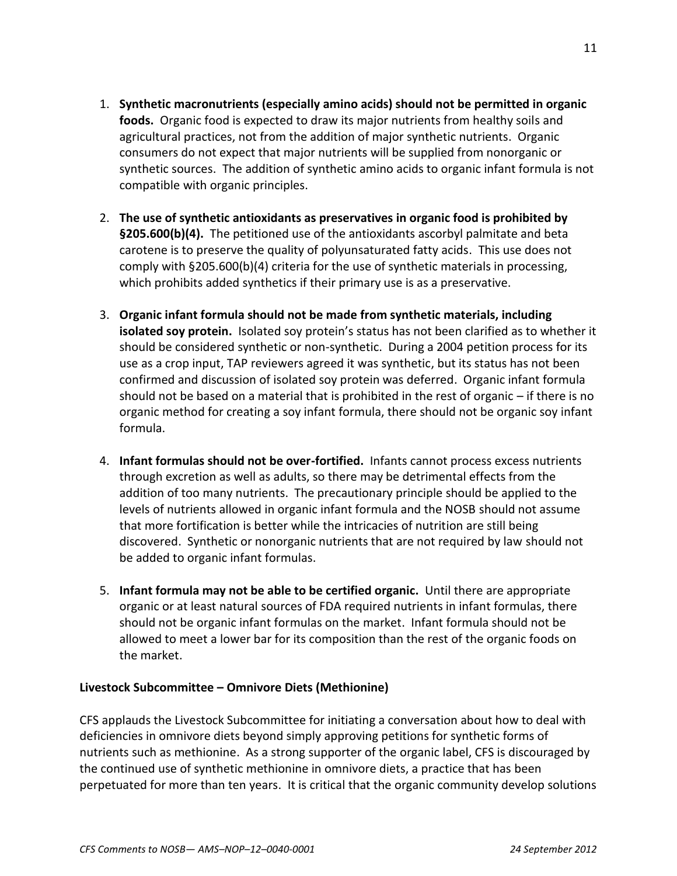- 1. **Synthetic macronutrients (especially amino acids) should not be permitted in organic foods.** Organic food is expected to draw its major nutrients from healthy soils and agricultural practices, not from the addition of major synthetic nutrients. Organic consumers do not expect that major nutrients will be supplied from nonorganic or synthetic sources. The addition of synthetic amino acids to organic infant formula is not compatible with organic principles.
- 2. **The use of synthetic antioxidants as preservatives in organic food is prohibited by §205.600(b)(4).** The petitioned use of the antioxidants ascorbyl palmitate and beta carotene is to preserve the quality of polyunsaturated fatty acids. This use does not comply with §205.600(b)(4) criteria for the use of synthetic materials in processing, which prohibits added synthetics if their primary use is as a preservative.
- 3. **Organic infant formula should not be made from synthetic materials, including isolated soy protein.** Isolated soy protein's status has not been clarified as to whether it should be considered synthetic or non-synthetic. During a 2004 petition process for its use as a crop input, TAP reviewers agreed it was synthetic, but its status has not been confirmed and discussion of isolated soy protein was deferred. Organic infant formula should not be based on a material that is prohibited in the rest of organic – if there is no organic method for creating a soy infant formula, there should not be organic soy infant formula.
- 4. **Infant formulas should not be over-fortified.** Infants cannot process excess nutrients through excretion as well as adults, so there may be detrimental effects from the addition of too many nutrients. The precautionary principle should be applied to the levels of nutrients allowed in organic infant formula and the NOSB should not assume that more fortification is better while the intricacies of nutrition are still being discovered. Synthetic or nonorganic nutrients that are not required by law should not be added to organic infant formulas.
- 5. **Infant formula may not be able to be certified organic.** Until there are appropriate organic or at least natural sources of FDA required nutrients in infant formulas, there should not be organic infant formulas on the market. Infant formula should not be allowed to meet a lower bar for its composition than the rest of the organic foods on the market.

## **Livestock Subcommittee – Omnivore Diets (Methionine)**

CFS applauds the Livestock Subcommittee for initiating a conversation about how to deal with deficiencies in omnivore diets beyond simply approving petitions for synthetic forms of nutrients such as methionine. As a strong supporter of the organic label, CFS is discouraged by the continued use of synthetic methionine in omnivore diets, a practice that has been perpetuated for more than ten years. It is critical that the organic community develop solutions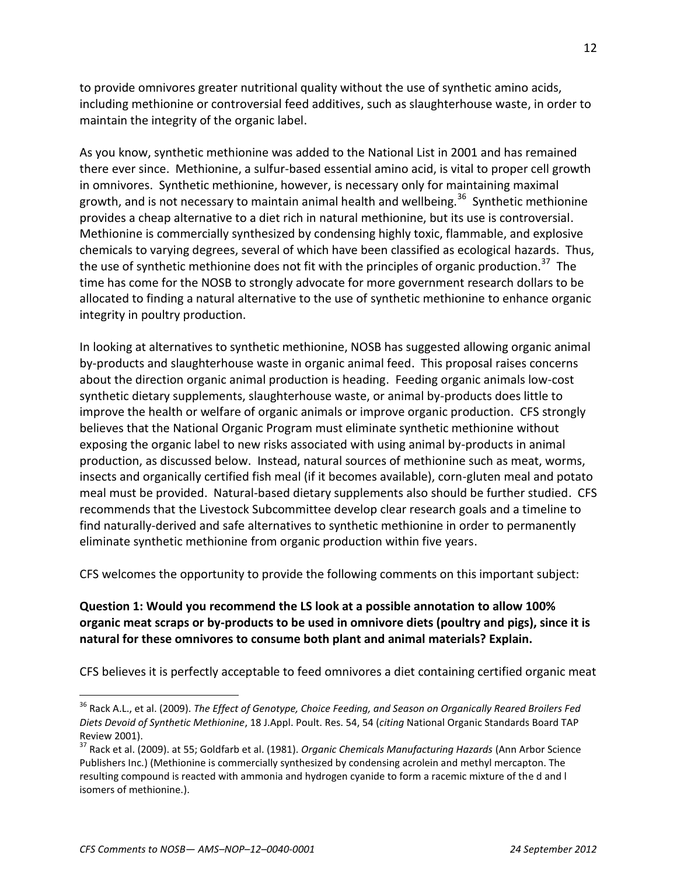to provide omnivores greater nutritional quality without the use of synthetic amino acids, including methionine or controversial feed additives, such as slaughterhouse waste, in order to maintain the integrity of the organic label.

As you know, synthetic methionine was added to the National List in 2001 and has remained there ever since. Methionine, a sulfur-based essential amino acid, is vital to proper cell growth in omnivores. Synthetic methionine, however, is necessary only for maintaining maximal growth, and is not necessary to maintain animal health and wellbeing.<sup>36</sup> Synthetic methionine provides a cheap alternative to a diet rich in natural methionine, but its use is controversial. Methionine is commercially synthesized by condensing highly toxic, flammable, and explosive chemicals to varying degrees, several of which have been classified as ecological hazards. Thus, the use of synthetic methionine does not fit with the principles of organic production.<sup>37</sup> The time has come for the NOSB to strongly advocate for more government research dollars to be allocated to finding a natural alternative to the use of synthetic methionine to enhance organic integrity in poultry production.

In looking at alternatives to synthetic methionine, NOSB has suggested allowing organic animal by-products and slaughterhouse waste in organic animal feed. This proposal raises concerns about the direction organic animal production is heading. Feeding organic animals low-cost synthetic dietary supplements, slaughterhouse waste, or animal by-products does little to improve the health or welfare of organic animals or improve organic production. CFS strongly believes that the National Organic Program must eliminate synthetic methionine without exposing the organic label to new risks associated with using animal by-products in animal production, as discussed below. Instead, natural sources of methionine such as meat, worms, insects and organically certified fish meal (if it becomes available), corn-gluten meal and potato meal must be provided. Natural-based dietary supplements also should be further studied. CFS recommends that the Livestock Subcommittee develop clear research goals and a timeline to find naturally-derived and safe alternatives to synthetic methionine in order to permanently eliminate synthetic methionine from organic production within five years.

CFS welcomes the opportunity to provide the following comments on this important subject:

## **Question 1: Would you recommend the LS look at a possible annotation to allow 100% organic meat scraps or by-products to be used in omnivore diets (poultry and pigs), since it is natural for these omnivores to consume both plant and animal materials? Explain.**

CFS believes it is perfectly acceptable to feed omnivores a diet containing certified organic meat

<sup>36</sup> Rack A.L., et al. (2009). *The Effect of Genotype, Choice Feeding, and Season on Organically Reared Broilers Fed Diets Devoid of Synthetic Methionine*, 18 J.Appl. Poult. Res. 54, 54 (*citing* National Organic Standards Board TAP Review 2001).

<sup>37</sup> Rack et al. (2009). at 55; Goldfarb et al. (1981). *Organic Chemicals Manufacturing Hazards* (Ann Arbor Science Publishers Inc.) (Methionine is commercially synthesized by condensing acrolein and methyl mercapton. The resulting compound is reacted with ammonia and hydrogen cyanide to form a racemic mixture of the d and l isomers of methionine.).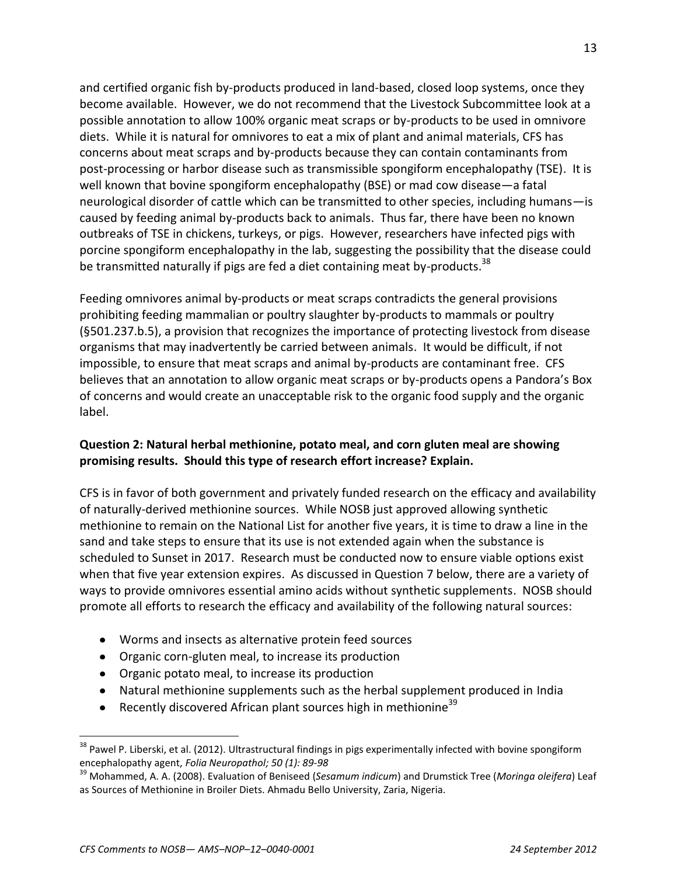and certified organic fish by-products produced in land-based, closed loop systems, once they become available. However, we do not recommend that the Livestock Subcommittee look at a possible annotation to allow 100% organic meat scraps or by-products to be used in omnivore diets. While it is natural for omnivores to eat a mix of plant and animal materials, CFS has concerns about meat scraps and by-products because they can contain contaminants from post-processing or harbor disease such as transmissible spongiform encephalopathy (TSE). It is well known that bovine spongiform encephalopathy (BSE) or mad cow disease—a fatal neurological disorder of cattle which can be transmitted to other species, including humans—is caused by feeding animal by-products back to animals. Thus far, there have been no known outbreaks of TSE in chickens, turkeys, or pigs. However, researchers have infected pigs with porcine spongiform encephalopathy in the lab, suggesting the possibility that the disease could be transmitted naturally if pigs are fed a diet containing meat by-products.<sup>38</sup>

Feeding omnivores animal by-products or meat scraps contradicts the general provisions prohibiting feeding mammalian or poultry slaughter by-products to mammals or poultry (§501.237.b.5), a provision that recognizes the importance of protecting livestock from disease organisms that may inadvertently be carried between animals. It would be difficult, if not impossible, to ensure that meat scraps and animal by-products are contaminant free. CFS believes that an annotation to allow organic meat scraps or by-products opens a Pandora's Box of concerns and would create an unacceptable risk to the organic food supply and the organic label.

## **Question 2: Natural herbal methionine, potato meal, and corn gluten meal are showing promising results. Should this type of research effort increase? Explain.**

CFS is in favor of both government and privately funded research on the efficacy and availability of naturally-derived methionine sources. While NOSB just approved allowing synthetic methionine to remain on the National List for another five years, it is time to draw a line in the sand and take steps to ensure that its use is not extended again when the substance is scheduled to Sunset in 2017. Research must be conducted now to ensure viable options exist when that five year extension expires. As discussed in Question 7 below, there are a variety of ways to provide omnivores essential amino acids without synthetic supplements. NOSB should promote all efforts to research the efficacy and availability of the following natural sources:

- Worms and insects as alternative protein feed sources
- Organic corn-gluten meal, to increase its production
- Organic potato meal, to increase its production
- Natural methionine supplements such as the herbal supplement produced in India
- Recently discovered African plant sources high in methionine<sup>39</sup>

<sup>&</sup>lt;sup>38</sup> Pawel P. Liberski, et al. (2012). Ultrastructural findings in pigs experimentally infected with bovine spongiform encephalopathy agent, *Folia Neuropathol; 50 (1): 89-98*

<sup>39</sup> Mohammed, A. A. (2008). Evaluation of Beniseed (*Sesamum indicum*) and Drumstick Tree (*Moringa oleifera*) Leaf as Sources of Methionine in Broiler Diets. Ahmadu Bello University, Zaria, Nigeria.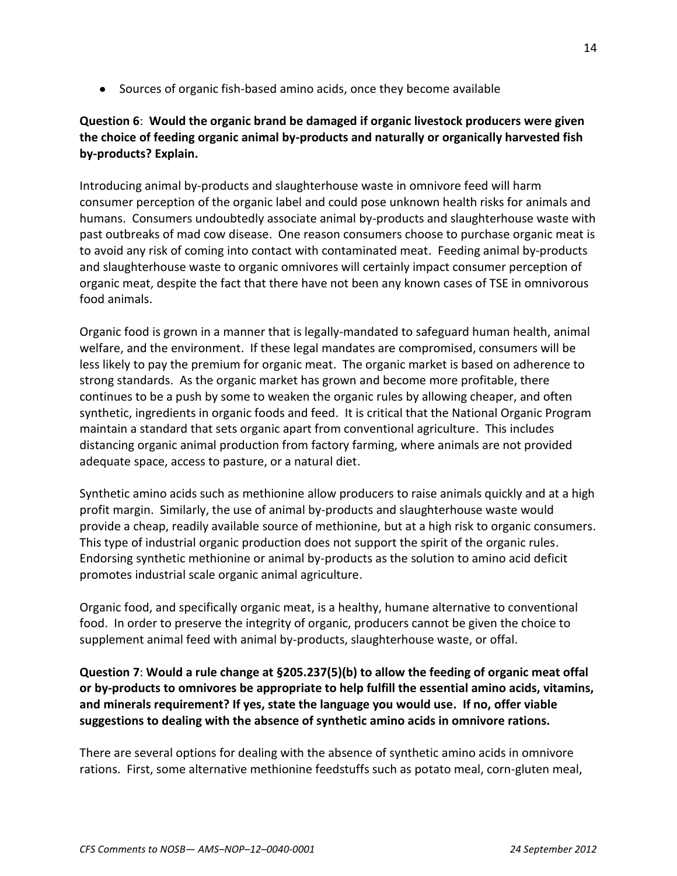• Sources of organic fish-based amino acids, once they become available

# **Question 6**: **Would the organic brand be damaged if organic livestock producers were given the choice of feeding organic animal by-products and naturally or organically harvested fish by-products? Explain.**

Introducing animal by-products and slaughterhouse waste in omnivore feed will harm consumer perception of the organic label and could pose unknown health risks for animals and humans. Consumers undoubtedly associate animal by-products and slaughterhouse waste with past outbreaks of mad cow disease. One reason consumers choose to purchase organic meat is to avoid any risk of coming into contact with contaminated meat. Feeding animal by-products and slaughterhouse waste to organic omnivores will certainly impact consumer perception of organic meat, despite the fact that there have not been any known cases of TSE in omnivorous food animals.

Organic food is grown in a manner that is legally-mandated to safeguard human health, animal welfare, and the environment. If these legal mandates are compromised, consumers will be less likely to pay the premium for organic meat. The organic market is based on adherence to strong standards. As the organic market has grown and become more profitable, there continues to be a push by some to weaken the organic rules by allowing cheaper, and often synthetic, ingredients in organic foods and feed. It is critical that the National Organic Program maintain a standard that sets organic apart from conventional agriculture. This includes distancing organic animal production from factory farming, where animals are not provided adequate space, access to pasture, or a natural diet.

Synthetic amino acids such as methionine allow producers to raise animals quickly and at a high profit margin. Similarly, the use of animal by-products and slaughterhouse waste would provide a cheap, readily available source of methionine, but at a high risk to organic consumers. This type of industrial organic production does not support the spirit of the organic rules. Endorsing synthetic methionine or animal by-products as the solution to amino acid deficit promotes industrial scale organic animal agriculture.

Organic food, and specifically organic meat, is a healthy, humane alternative to conventional food. In order to preserve the integrity of organic, producers cannot be given the choice to supplement animal feed with animal by-products, slaughterhouse waste, or offal.

**Question 7**: **Would a rule change at §205.237(5)(b) to allow the feeding of organic meat offal or by-products to omnivores be appropriate to help fulfill the essential amino acids, vitamins, and minerals requirement? If yes, state the language you would use. If no, offer viable suggestions to dealing with the absence of synthetic amino acids in omnivore rations.**

There are several options for dealing with the absence of synthetic amino acids in omnivore rations. First, some alternative methionine feedstuffs such as potato meal, corn-gluten meal,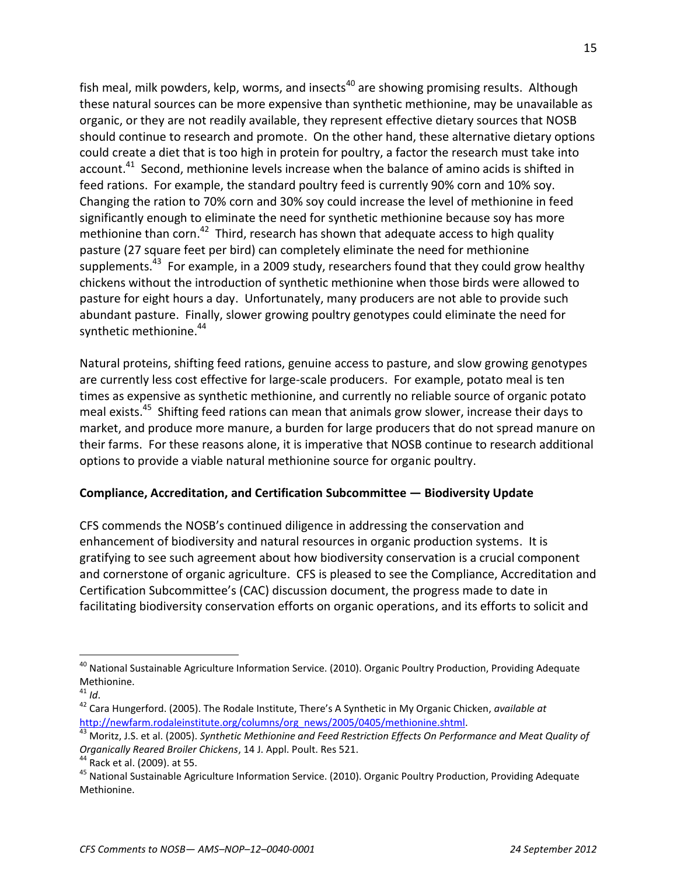fish meal, milk powders, kelp, worms, and insects<sup>40</sup> are showing promising results. Although these natural sources can be more expensive than synthetic methionine, may be unavailable as organic, or they are not readily available, they represent effective dietary sources that NOSB should continue to research and promote. On the other hand, these alternative dietary options could create a diet that is too high in protein for poultry, a factor the research must take into account.<sup>41</sup> Second, methionine levels increase when the balance of amino acids is shifted in feed rations. For example, the standard poultry feed is currently 90% corn and 10% soy. Changing the ration to 70% corn and 30% soy could increase the level of methionine in feed significantly enough to eliminate the need for synthetic methionine because soy has more methionine than corn.<sup>42</sup> Third, research has shown that adequate access to high quality pasture (27 square feet per bird) can completely eliminate the need for methionine supplements.<sup>43</sup> For example, in a 2009 study, researchers found that they could grow healthy chickens without the introduction of synthetic methionine when those birds were allowed to pasture for eight hours a day. Unfortunately, many producers are not able to provide such abundant pasture. Finally, slower growing poultry genotypes could eliminate the need for synthetic methionine.<sup>44</sup>

Natural proteins, shifting feed rations, genuine access to pasture, and slow growing genotypes are currently less cost effective for large-scale producers. For example, potato meal is ten times as expensive as synthetic methionine, and currently no reliable source of organic potato meal exists.<sup>45</sup> Shifting feed rations can mean that animals grow slower, increase their days to market, and produce more manure, a burden for large producers that do not spread manure on their farms. For these reasons alone, it is imperative that NOSB continue to research additional options to provide a viable natural methionine source for organic poultry.

## **Compliance, Accreditation, and Certification Subcommittee — Biodiversity Update**

CFS commends the NOSB's continued diligence in addressing the conservation and enhancement of biodiversity and natural resources in organic production systems. It is gratifying to see such agreement about how biodiversity conservation is a crucial component and cornerstone of organic agriculture. CFS is pleased to see the Compliance, Accreditation and Certification Subcommittee's (CAC) discussion document, the progress made to date in facilitating biodiversity conservation efforts on organic operations, and its efforts to solicit and

<sup>&</sup>lt;sup>40</sup> National Sustainable Agriculture Information Service. (2010). Organic Poultry Production, Providing Adequate Methionine.

<sup>41</sup> *Id*.

<sup>42</sup> Cara Hungerford. (2005). The Rodale Institute, There's A Synthetic in My Organic Chicken, *available at*  [http://newfarm.rodaleinstitute.org/columns/org\\_news/2005/0405/methionine.shtml.](http://newfarm.rodaleinstitute.org/columns/org_news/2005/0405/methionine.shtml)

<sup>43</sup> Moritz, J.S. et al. (2005). *Synthetic Methionine and Feed Restriction Effects On Performance and Meat Quality of Organically Reared Broiler Chickens*, 14 J. Appl. Poult. Res 521.

<sup>&</sup>lt;sup>44</sup> Rack et al. (2009). at 55.

<sup>&</sup>lt;sup>45</sup> National Sustainable Agriculture Information Service. (2010). Organic Poultry Production, Providing Adequate Methionine.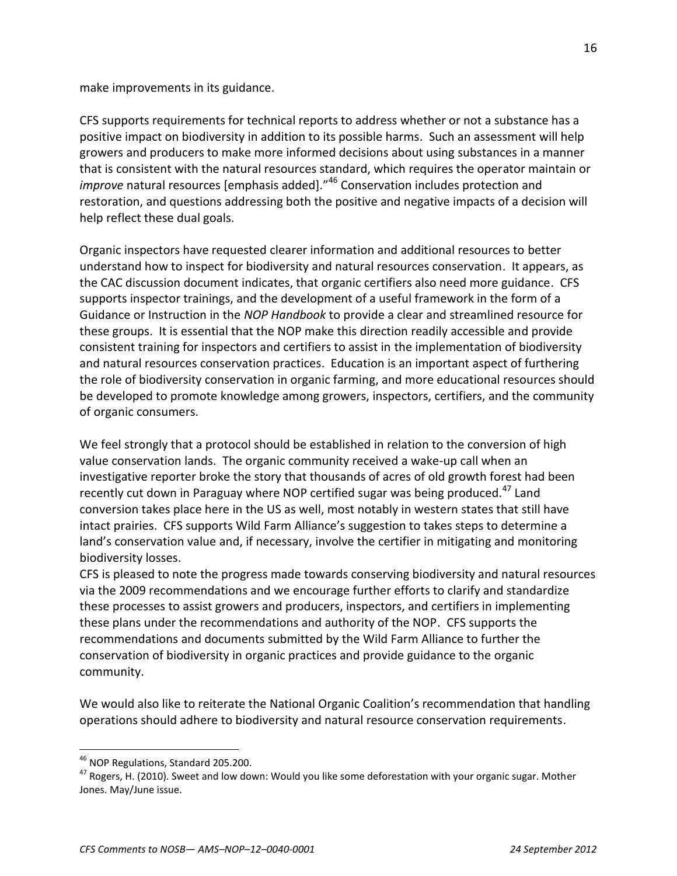make improvements in its guidance.

CFS supports requirements for technical reports to address whether or not a substance has a positive impact on biodiversity in addition to its possible harms. Such an assessment will help growers and producers to make more informed decisions about using substances in a manner that is consistent with the natural resources standard, which requires the operator maintain or *improve* natural resources [emphasis added]."<sup>46</sup> Conservation includes protection and restoration, and questions addressing both the positive and negative impacts of a decision will help reflect these dual goals.

Organic inspectors have requested clearer information and additional resources to better understand how to inspect for biodiversity and natural resources conservation. It appears, as the CAC discussion document indicates, that organic certifiers also need more guidance. CFS supports inspector trainings, and the development of a useful framework in the form of a Guidance or Instruction in the *NOP Handbook* to provide a clear and streamlined resource for these groups. It is essential that the NOP make this direction readily accessible and provide consistent training for inspectors and certifiers to assist in the implementation of biodiversity and natural resources conservation practices. Education is an important aspect of furthering the role of biodiversity conservation in organic farming, and more educational resources should be developed to promote knowledge among growers, inspectors, certifiers, and the community of organic consumers.

We feel strongly that a protocol should be established in relation to the conversion of high value conservation lands. The organic community received a wake-up call when an investigative reporter broke the story that thousands of acres of old growth forest had been recently cut down in Paraguay where NOP certified sugar was being produced.<sup>47</sup> Land conversion takes place here in the US as well, most notably in western states that still have intact prairies. CFS supports Wild Farm Alliance's suggestion to takes steps to determine a land's conservation value and, if necessary, involve the certifier in mitigating and monitoring biodiversity losses.

CFS is pleased to note the progress made towards conserving biodiversity and natural resources via the 2009 recommendations and we encourage further efforts to clarify and standardize these processes to assist growers and producers, inspectors, and certifiers in implementing these plans under the recommendations and authority of the NOP. CFS supports the recommendations and documents submitted by the Wild Farm Alliance to further the conservation of biodiversity in organic practices and provide guidance to the organic community.

We would also like to reiterate the National Organic Coalition's recommendation that handling operations should adhere to biodiversity and natural resource conservation requirements.

<sup>&</sup>lt;sup>46</sup> NOP Regulations, Standard 205.200.

<sup>&</sup>lt;sup>47</sup> Rogers, H. (2010). Sweet and low down: Would you like some deforestation with your organic sugar. Mother Jones. May/June issue.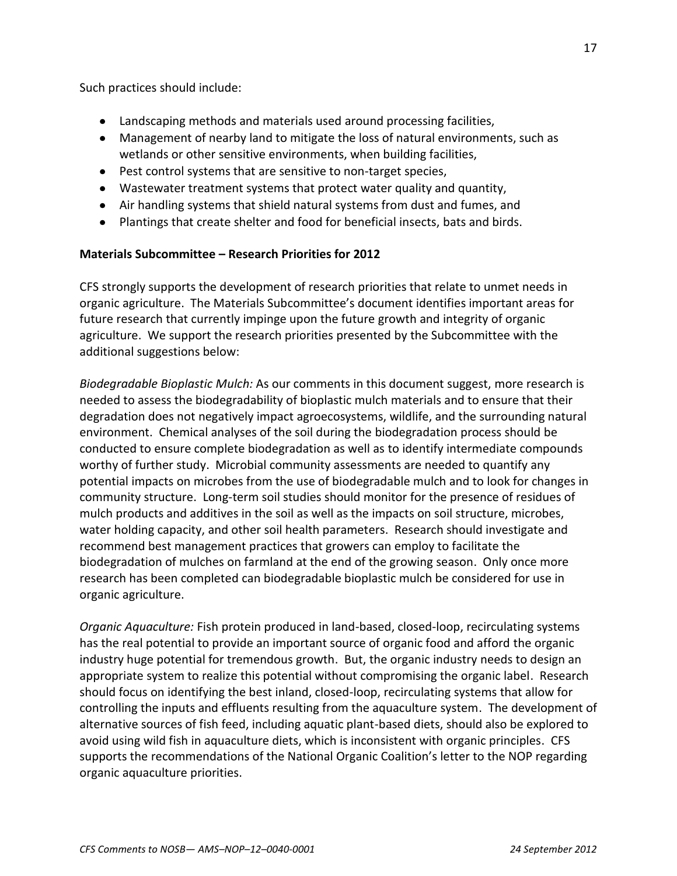Such practices should include:

- Landscaping methods and materials used around processing facilities,
- Management of nearby land to mitigate the loss of natural environments, such as wetlands or other sensitive environments, when building facilities,
- Pest control systems that are sensitive to non-target species,
- Wastewater treatment systems that protect water quality and quantity,
- Air handling systems that shield natural systems from dust and fumes, and
- Plantings that create shelter and food for beneficial insects, bats and birds.

## **Materials Subcommittee – Research Priorities for 2012**

CFS strongly supports the development of research priorities that relate to unmet needs in organic agriculture. The Materials Subcommittee's document identifies important areas for future research that currently impinge upon the future growth and integrity of organic agriculture. We support the research priorities presented by the Subcommittee with the additional suggestions below:

*Biodegradable Bioplastic Mulch:* As our comments in this document suggest, more research is needed to assess the biodegradability of bioplastic mulch materials and to ensure that their degradation does not negatively impact agroecosystems, wildlife, and the surrounding natural environment. Chemical analyses of the soil during the biodegradation process should be conducted to ensure complete biodegradation as well as to identify intermediate compounds worthy of further study. Microbial community assessments are needed to quantify any potential impacts on microbes from the use of biodegradable mulch and to look for changes in community structure. Long-term soil studies should monitor for the presence of residues of mulch products and additives in the soil as well as the impacts on soil structure, microbes, water holding capacity, and other soil health parameters. Research should investigate and recommend best management practices that growers can employ to facilitate the biodegradation of mulches on farmland at the end of the growing season. Only once more research has been completed can biodegradable bioplastic mulch be considered for use in organic agriculture.

*Organic Aquaculture:* Fish protein produced in land-based, closed-loop, recirculating systems has the real potential to provide an important source of organic food and afford the organic industry huge potential for tremendous growth. But, the organic industry needs to design an appropriate system to realize this potential without compromising the organic label. Research should focus on identifying the best inland, closed-loop, recirculating systems that allow for controlling the inputs and effluents resulting from the aquaculture system. The development of alternative sources of fish feed, including aquatic plant-based diets, should also be explored to avoid using wild fish in aquaculture diets, which is inconsistent with organic principles. CFS supports the recommendations of the National Organic Coalition's letter to the NOP regarding organic aquaculture priorities.